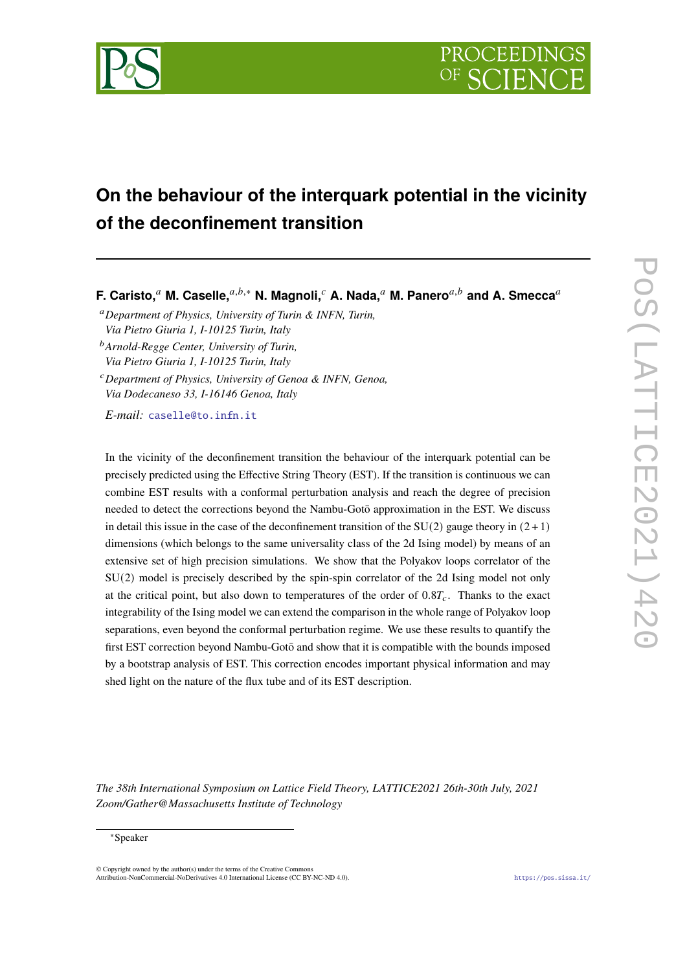

# **On the behaviour of the interquark potential in the vicinity of the deconfinement transition**

**F. Caristo,<sup>a</sup> M. Caselle,**<sup>a,b,\*</sup> N. Magnoli,<sup>c</sup> A. Nada,<sup>a</sup> M. Panero<sup>a,b</sup> and A. Smecca<sup>a</sup>

<sup>𝑎</sup>*Department of Physics, University of Turin & INFN, Turin, Via Pietro Giuria 1, I-10125 Turin, Italy*

<sup>𝑏</sup>*Arnold-Regge Center, University of Turin, Via Pietro Giuria 1, I-10125 Turin, Italy*

<sup>𝑐</sup>*Department of Physics, University of Genoa & INFN, Genoa, Via Dodecaneso 33, I-16146 Genoa, Italy*

*E-mail:* [caselle@to.infn.it](mailto:caselle@to.infn.it)

In the vicinity of the deconfinement transition the behaviour of the interquark potential can be precisely predicted using the Effective String Theory (EST). If the transition is continuous we can combine EST results with a conformal perturbation analysis and reach the degree of precision needed to detect the corrections beyond the Nambu-Goto approximation in the EST. We discuss ¯ in detail this issue in the case of the deconfinement transition of the  $SU(2)$  gauge theory in  $(2 + 1)$ dimensions (which belongs to the same universality class of the 2d Ising model) by means of an extensive set of high precision simulations. We show that the Polyakov loops correlator of the SU(2) model is precisely described by the spin-spin correlator of the 2d Ising model not only at the critical point, but also down to temperatures of the order of  $0.8T_c$ . Thanks to the exact integrability of the Ising model we can extend the comparison in the whole range of Polyakov loop separations, even beyond the conformal perturbation regime. We use these results to quantify the first EST correction beyond Nambu-Gotō and show that it is compatible with the bounds imposed by a bootstrap analysis of EST. This correction encodes important physical information and may shed light on the nature of the flux tube and of its EST description.

*The 38th International Symposium on Lattice Field Theory, LATTICE2021 26th-30th July, 2021 Zoom/Gather@Massachusetts Institute of Technology*

#### <sup>∗</sup>Speaker

 $\odot$  Copyright owned by the author(s) under the terms of the Creative Common Attribution-NonCommercial-NoDerivatives 4.0 International License (CC BY-NC-ND 4.0). <https://pos.sissa.it/>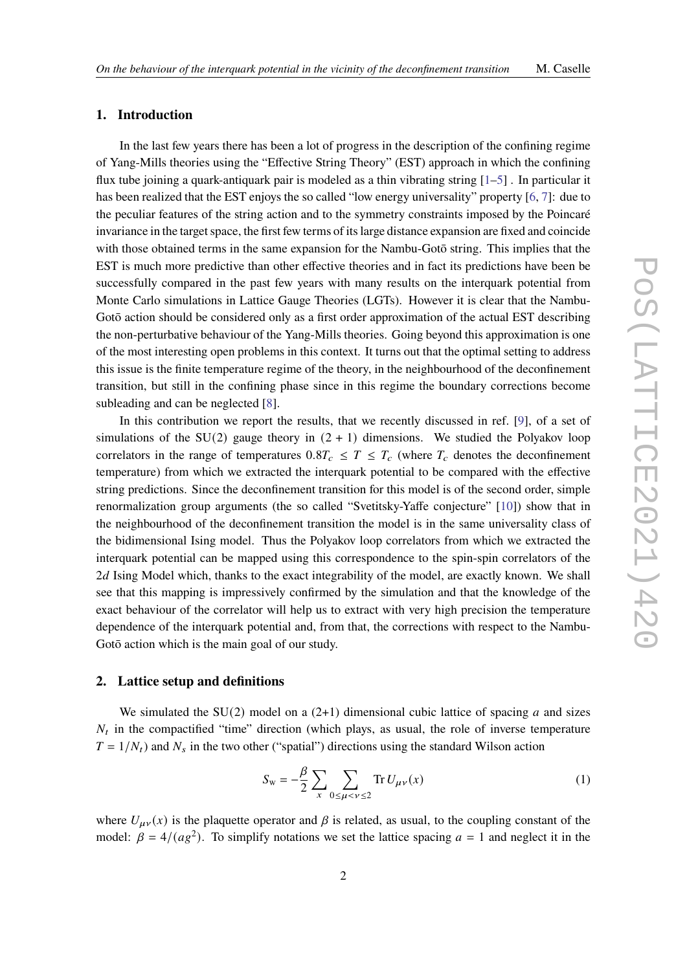## **1. Introduction**

In the last few years there has been a lot of progress in the description of the confining regime of Yang-Mills theories using the "Effective String Theory" (EST) approach in which the confining flux tube joining a quark-antiquark pair is modeled as a thin vibrating string [\[1](#page-6-0)[–5\]](#page-7-0) . In particular it has been realized that the EST enjoys the so called "low energy universality" property [\[6,](#page-7-1) [7\]](#page-7-2): due to the peculiar features of the string action and to the symmetry constraints imposed by the Poincaré invariance in the target space, the first few terms of its large distance expansion are fixed and coincide with those obtained terms in the same expansion for the Nambu-Goto string. This implies that the EST is much more predictive than other effective theories and in fact its predictions have been be successfully compared in the past few years with many results on the interquark potential from Monte Carlo simulations in Lattice Gauge Theories (LGTs). However it is clear that the Nambu-Goto action should be considered only as a first order approximation of the actual EST describing the non-perturbative behaviour of the Yang-Mills theories. Going beyond this approximation is one of the most interesting open problems in this context. It turns out that the optimal setting to address this issue is the finite temperature regime of the theory, in the neighbourhood of the deconfinement transition, but still in the confining phase since in this regime the boundary corrections become subleading and can be neglected [\[8\]](#page-7-3).

In this contribution we report the results, that we recently discussed in ref. [\[9\]](#page-7-4), of a set of simulations of the SU(2) gauge theory in  $(2 + 1)$  dimensions. We studied the Polyakov loop correlators in the range of temperatures  $0.8T_c \leq T \leq T_c$  (where  $T_c$  denotes the deconfinement temperature) from which we extracted the interquark potential to be compared with the effective string predictions. Since the deconfinement transition for this model is of the second order, simple renormalization group arguments (the so called "Svetitsky-Yaffe conjecture" [\[10\]](#page-7-5)) show that in the neighbourhood of the deconfinement transition the model is in the same universality class of the bidimensional Ising model. Thus the Polyakov loop correlators from which we extracted the interquark potential can be mapped using this correspondence to the spin-spin correlators of the  $2d$  Ising Model which, thanks to the exact integrability of the model, are exactly known. We shall see that this mapping is impressively confirmed by the simulation and that the knowledge of the exact behaviour of the correlator will help us to extract with very high precision the temperature dependence of the interquark potential and, from that, the corrections with respect to the Nambu-Gotō action which is the main goal of our study.

# **2. Lattice setup and definitions**

We simulated the SU(2) model on a (2+1) dimensional cubic lattice of spacing  $a$  and sizes  $N_t$  in the compactified "time" direction (which plays, as usual, the role of inverse temperature  $T = 1/N_t$ ) and  $N_s$  in the two other ("spatial") directions using the standard Wilson action

$$
S_{w} = -\frac{\beta}{2} \sum_{x} \sum_{0 \le \mu < v \le 2} \text{Tr} \, U_{\mu\nu}(x) \tag{1}
$$

where  $U_{\mu\nu}(x)$  is the plaquette operator and  $\beta$  is related, as usual, to the coupling constant of the model:  $\beta = 4/(ag^2)$ . To simplify notations we set the lattice spacing  $a = 1$  and neglect it in the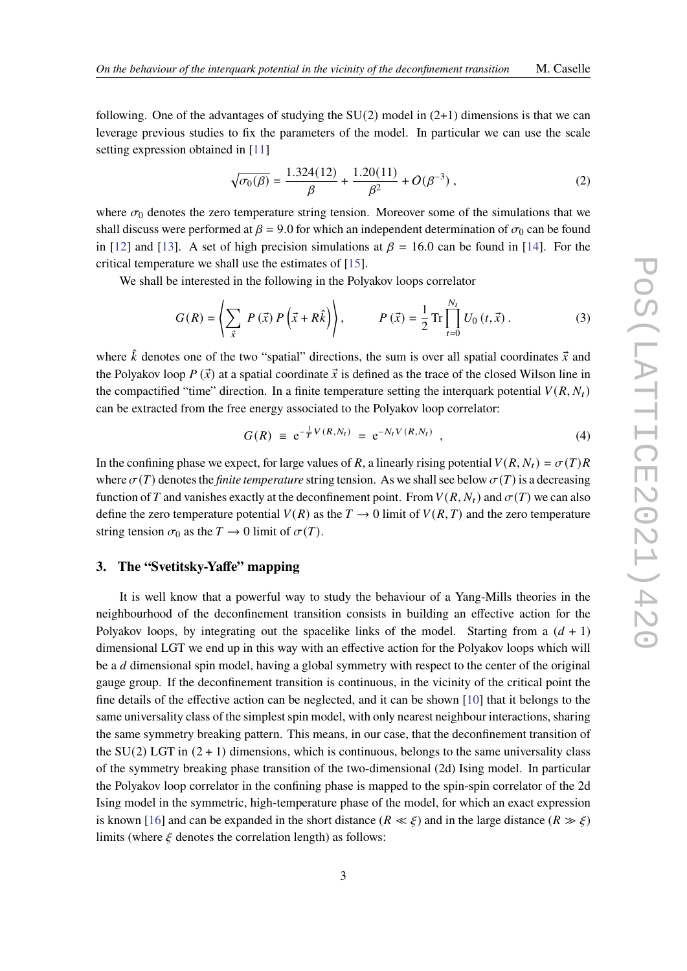following. One of the advantages of studying the  $SU(2)$  model in  $(2+1)$  dimensions is that we can leverage previous studies to fix the parameters of the model. In particular we can use the scale setting expression obtained in [\[11\]](#page-7-6)

$$
\sqrt{\sigma_0(\beta)} = \frac{1.324(12)}{\beta} + \frac{1.20(11)}{\beta^2} + O(\beta^{-3}),\tag{2}
$$

where  $\sigma_0$  denotes the zero temperature string tension. Moreover some of the simulations that we shall discuss were performed at  $\beta = 9.0$  for which an independent determination of  $\sigma_0$  can be found in [\[12\]](#page-7-7) and [\[13\]](#page-7-8). A set of high precision simulations at  $\beta = 16.0$  can be found in [\[14\]](#page-7-9). For the critical temperature we shall use the estimates of [\[15\]](#page-7-10).

We shall be interested in the following in the Polyakov loops correlator

$$
G(R) = \left\langle \sum_{\vec{x}} P(\vec{x}) P(\vec{x} + R\hat{k}) \right\rangle, \qquad P(\vec{x}) = \frac{1}{2} \operatorname{Tr} \prod_{t=0}^{N_t} U_0(t, \vec{x}). \tag{3}
$$

where  $\hat{k}$  denotes one of the two "spatial" directions, the sum is over all spatial coordinates  $\vec{x}$  and the Polyakov loop  $P(\vec{x})$  at a spatial coordinate  $\vec{x}$  is defined as the trace of the closed Wilson line in the compactified "time" direction. In a finite temperature setting the interquark potential  $V(R, N_t)$ can be extracted from the free energy associated to the Polyakov loop correlator:

$$
G(R) \equiv e^{-\frac{1}{T}V(R,N_t)} = e^{-N_t V(R,N_t)} \t{,} \t(4)
$$

In the confining phase we expect, for large values of R, a linearly rising potential  $V(R, N_t) = \sigma(T)R$ where  $\sigma(T)$  denotes the *finite temperature* string tension. As we shall see below  $\sigma(T)$  is a decreasing function of T and vanishes exactly at the deconfinement point. From  $V(R, N_t)$  and  $\sigma(T)$  we can also define the zero temperature potential  $V(R)$  as the  $T \to 0$  limit of  $V(R, T)$  and the zero temperature string tension  $\sigma_0$  as the  $T \to 0$  limit of  $\sigma(T)$ .

# **3. The "Svetitsky-Yaffe" mapping**

It is well know that a powerful way to study the behaviour of a Yang-Mills theories in the neighbourhood of the deconfinement transition consists in building an effective action for the Polyakov loops, by integrating out the spacelike links of the model. Starting from a  $(d + 1)$ dimensional LGT we end up in this way with an effective action for the Polyakov loops which will be a *d* dimensional spin model, having a global symmetry with respect to the center of the original gauge group. If the deconfinement transition is continuous, in the vicinity of the critical point the fine details of the effective action can be neglected, and it can be shown [\[10\]](#page-7-5) that it belongs to the same universality class of the simplest spin model, with only nearest neighbour interactions, sharing the same symmetry breaking pattern. This means, in our case, that the deconfinement transition of the SU(2) LGT in  $(2 + 1)$  dimensions, which is continuous, belongs to the same universality class of the symmetry breaking phase transition of the two-dimensional (2d) Ising model. In particular the Polyakov loop correlator in the confining phase is mapped to the spin-spin correlator of the 2d Ising model in the symmetric, high-temperature phase of the model, for which an exact expression is known [\[16\]](#page-7-11) and can be expanded in the short distance ( $R \ll \xi$ ) and in the large distance ( $R \gg \xi$ ) limits (where  $\xi$  denotes the correlation length) as follows: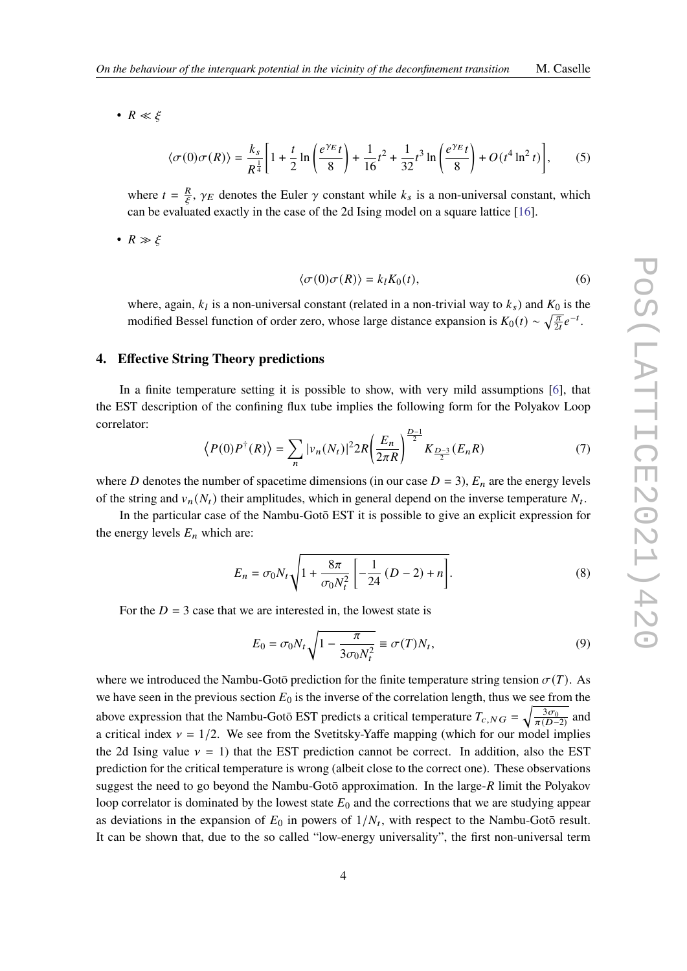•  $R \ll \xi$ 

<span id="page-3-0"></span>
$$
\langle \sigma(0)\sigma(R) \rangle = \frac{k_s}{R^{\frac{1}{4}}} \left[ 1 + \frac{t}{2} \ln \left( \frac{e^{\gamma_E} t}{8} \right) + \frac{1}{16} t^2 + \frac{1}{32} t^3 \ln \left( \frac{e^{\gamma_E} t}{8} \right) + O(t^4 \ln^2 t) \right],\tag{5}
$$

where  $t = \frac{R}{\epsilon}$  $\frac{R}{\epsilon}$ ,  $\gamma_E$  denotes the Euler  $\gamma$  constant while  $k_s$  is a non-universal constant, which can be evaluated exactly in the case of the 2d Ising model on a square lattice [\[16\]](#page-7-11).

•  $R \gg \xi$ 

<span id="page-3-1"></span>
$$
\langle \sigma(0)\sigma(R) \rangle = k_l K_0(t), \qquad (6)
$$

where, again,  $k_l$  is a non-universal constant (related in a non-trivial way to  $k_s$ ) and  $K_0$  is the modified Bessel function of order zero, whose large distance expansion is  $K_0(t) \sim \sqrt{\frac{\pi}{2t}} e^{-t}$ .

## **4. Effective String Theory predictions**

In a finite temperature setting it is possible to show, with very mild assumptions [\[6\]](#page-7-1), that the EST description of the confining flux tube implies the following form for the Polyakov Loop correlator:

$$
\langle P(0)P^{\dagger}(R)\rangle = \sum_{n} |\nu_n(N_t)|^2 2R \left(\frac{E_n}{2\pi R}\right)^{\frac{D-1}{2}} K_{\frac{D-3}{2}}(E_n R) \tag{7}
$$

where D denotes the number of spacetime dimensions (in our case  $D = 3$ ),  $E_n$  are the energy levels of the string and  $v_n(N_t)$  their amplitudes, which in general depend on the inverse temperature  $N_t$ .

In the particular case of the Nambu-Goto EST it is possible to give an explicit expression for the energy levels  $E_n$  which are:

$$
E_n = \sigma_0 N_t \sqrt{1 + \frac{8\pi}{\sigma_0 N_t^2} \left[ -\frac{1}{24} (D - 2) + n \right]}.
$$
 (8)

For the  $D = 3$  case that we are interested in, the lowest state is

<span id="page-3-2"></span>
$$
E_0 = \sigma_0 N_t \sqrt{1 - \frac{\pi}{3\sigma_0 N_t^2}} \equiv \sigma(T) N_t,
$$
\n(9)

where we introduced the Nambu-Gotō prediction for the finite temperature string tension  $\sigma(T)$ . As we have seen in the previous section  $E_0$  is the inverse of the correlation length, thus we see from the above expression that the Nambu-Gotō EST predicts a critical temperature  $T_{c,NG} = \sqrt{\frac{3\sigma_{c}}{\pi (D-1)}}$  $rac{3\sigma_0}{\pi(D-2)}$  and a critical index  $v = 1/2$ . We see from the Svetitsky-Yaffe mapping (which for our model implies the 2d Ising value  $y = 1$ ) that the EST prediction cannot be correct. In addition, also the EST prediction for the critical temperature is wrong (albeit close to the correct one). These observations suggest the need to go beyond the Nambu-Gotō approximation. In the large- $R$  limit the Polyakov loop correlator is dominated by the lowest state  $E_0$  and the corrections that we are studying appear as deviations in the expansion of  $E_0$  in powers of  $1/N_t$ , with respect to the Nambu-Goto result. It can be shown that, due to the so called "low-energy universality", the first non-universal term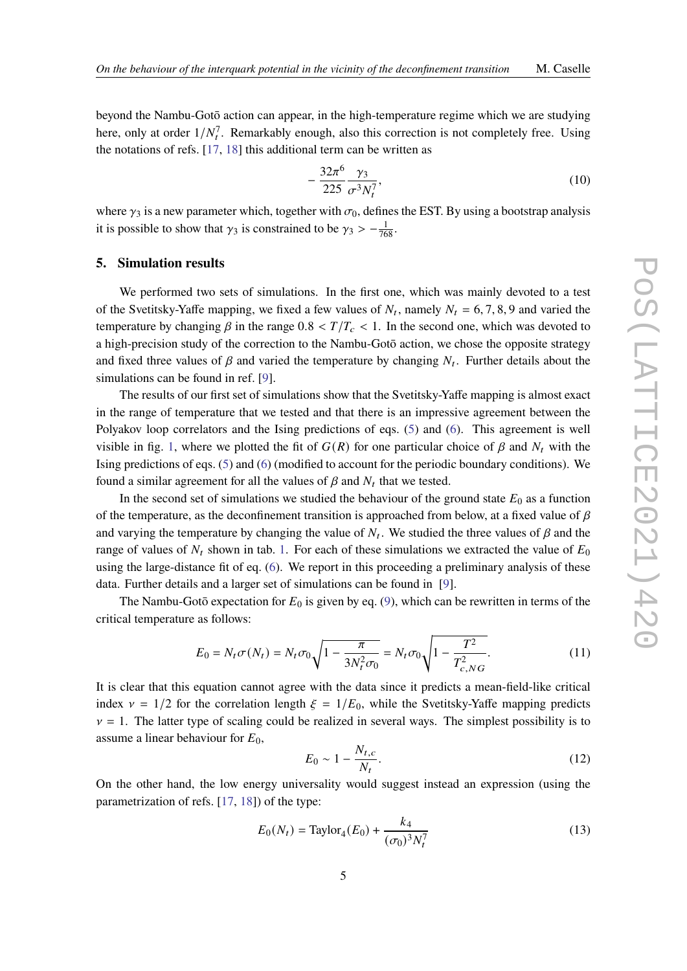beyond the Nambu-Gotō action can appear, in the high-temperature regime which we are studying here, only at order  $1/N_t^7$ . Remarkably enough, also this correction is not completely free. Using the notations of refs. [\[17,](#page-7-12) [18\]](#page-7-13) this additional term can be written as

<span id="page-4-3"></span>
$$
-\frac{32\pi^6}{225} \frac{\gamma_3}{\sigma^3 N_t^7},\tag{10}
$$

where  $\gamma_3$  is a new parameter which, together with  $\sigma_0$ , defines the EST. By using a bootstrap analysis it is possible to show that  $\gamma_3$  is constrained to be  $\gamma_3 > -\frac{1}{768}$ .

# **5. Simulation results**

We performed two sets of simulations. In the first one, which was mainly devoted to a test of the Svetitsky-Yaffe mapping, we fixed a few values of  $N_t$ , namely  $N_t = 6, 7, 8, 9$  and varied the temperature by changing  $\beta$  in the range  $0.8 < T/T_c < 1$ . In the second one, which was devoted to a high-precision study of the correction to the Nambu-Gotō action, we chose the opposite strategy and fixed three values of  $\beta$  and varied the temperature by changing  $N_t$ . Further details about the simulations can be found in ref. [\[9\]](#page-7-4).

The results of our first set of simulations show that the Svetitsky-Yaffe mapping is almost exact in the range of temperature that we tested and that there is an impressive agreement between the Polyakov loop correlators and the Ising predictions of eqs. [\(5\)](#page-3-0) and [\(6\)](#page-3-1). This agreement is well visible in fig. [1,](#page-5-0) where we plotted the fit of  $G(R)$  for one particular choice of  $\beta$  and  $N_t$  with the Ising predictions of eqs. [\(5\)](#page-3-0) and [\(6\)](#page-3-1) (modified to account for the periodic boundary conditions). We found a similar agreement for all the values of  $\beta$  and  $N_t$  that we tested.

In the second set of simulations we studied the behaviour of the ground state  $E_0$  as a function of the temperature, as the deconfinement transition is approached from below, at a fixed value of  $\beta$ and varying the temperature by changing the value of  $N_t$ . We studied the three values of  $\beta$  and the range of values of  $N_t$  shown in tab. [1.](#page-6-1) For each of these simulations we extracted the value of  $E_0$ using the large-distance fit of eq. [\(6\)](#page-3-1). We report in this proceeding a preliminary analysis of these data. Further details and a larger set of simulations can be found in [\[9\]](#page-7-4).

The Nambu-Gotō expectation for  $E_0$  is given by eq. [\(9\)](#page-3-2), which can be rewritten in terms of the critical temperature as follows:

<span id="page-4-0"></span>
$$
E_0 = N_t \sigma(N_t) = N_t \sigma_0 \sqrt{1 - \frac{\pi}{3N_t^2 \sigma_0}} = N_t \sigma_0 \sqrt{1 - \frac{T^2}{T_{c, NG}^2}}.
$$
 (11)

It is clear that this equation cannot agree with the data since it predicts a mean-field-like critical index  $v = 1/2$  for the correlation length  $\xi = 1/E_0$ , while the Svetitsky-Yaffe mapping predicts  $v = 1$ . The latter type of scaling could be realized in several ways. The simplest possibility is to assume a linear behaviour for  $E_0$ ,

<span id="page-4-1"></span>
$$
E_0 \sim 1 - \frac{N_{t,c}}{N_t}.\tag{12}
$$

On the other hand, the low energy universality would suggest instead an expression (using the parametrization of refs. [\[17,](#page-7-12) [18\]](#page-7-13)) of the type:

<span id="page-4-2"></span>
$$
E_0(N_t) = \text{Taylor}_4(E_0) + \frac{k_4}{(\sigma_0)^3 N_t^7}
$$
\n(13)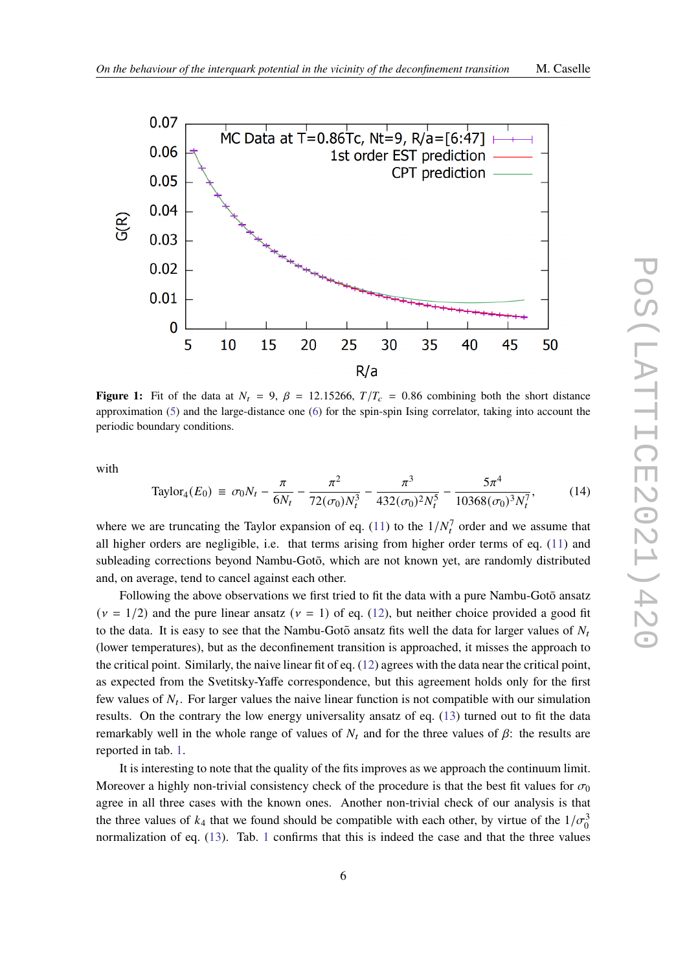<span id="page-5-0"></span>

**Figure 1:** Fit of the data at  $N_t = 9$ ,  $\beta = 12.15266$ ,  $T/T_c = 0.86$  combining both the short distance approximation [\(5\)](#page-3-0) and the large-distance one [\(6\)](#page-3-1) for the spin-spin Ising correlator, taking into account the periodic boundary conditions.

with

Taylor<sub>4</sub>(
$$
E_0
$$
) =  $\sigma_0 N_t - \frac{\pi}{6N_t} - \frac{\pi^2}{72(\sigma_0)N_t^3} - \frac{\pi^3}{432(\sigma_0)^2 N_t^5} - \frac{5\pi^4}{10368(\sigma_0)^3 N_t^7}$ , (14)

where we are truncating the Taylor expansion of eq. [\(11\)](#page-4-0) to the  $1/N_t^7$  order and we assume that all higher orders are negligible, i.e. that terms arising from higher order terms of eq.  $(11)$  and subleading corrections beyond Nambu-Gotō, which are not known yet, are randomly distributed and, on average, tend to cancel against each other.

Following the above observations we first tried to fit the data with a pure Nambu-Gotō ansatz  $(\nu = 1/2)$  and the pure linear ansatz  $(\nu = 1)$  of eq. [\(12\)](#page-4-1), but neither choice provided a good fit to the data. It is easy to see that the Nambu-Goto ansatz fits well the data for larger values of  $N_t$ (lower temperatures), but as the deconfinement transition is approached, it misses the approach to the critical point. Similarly, the naive linear fit of eq. [\(12\)](#page-4-1) agrees with the data near the critical point, as expected from the Svetitsky-Yaffe correspondence, but this agreement holds only for the first few values of  $N_t$ . For larger values the naive linear function is not compatible with our simulation results. On the contrary the low energy universality ansatz of eq. [\(13\)](#page-4-2) turned out to fit the data remarkably well in the whole range of values of  $N_t$  and for the three values of  $\beta$ : the results are reported in tab. [1.](#page-6-1)

It is interesting to note that the quality of the fits improves as we approach the continuum limit. Moreover a highly non-trivial consistency check of the procedure is that the best fit values for  $\sigma_0$ agree in all three cases with the known ones. Another non-trivial check of our analysis is that the three values of  $k_4$  that we found should be compatible with each other, by virtue of the  $1/\sigma_0^3$ normalization of eq. [\(13\)](#page-4-2). Tab. [1](#page-6-1) confirms that this is indeed the case and that the three values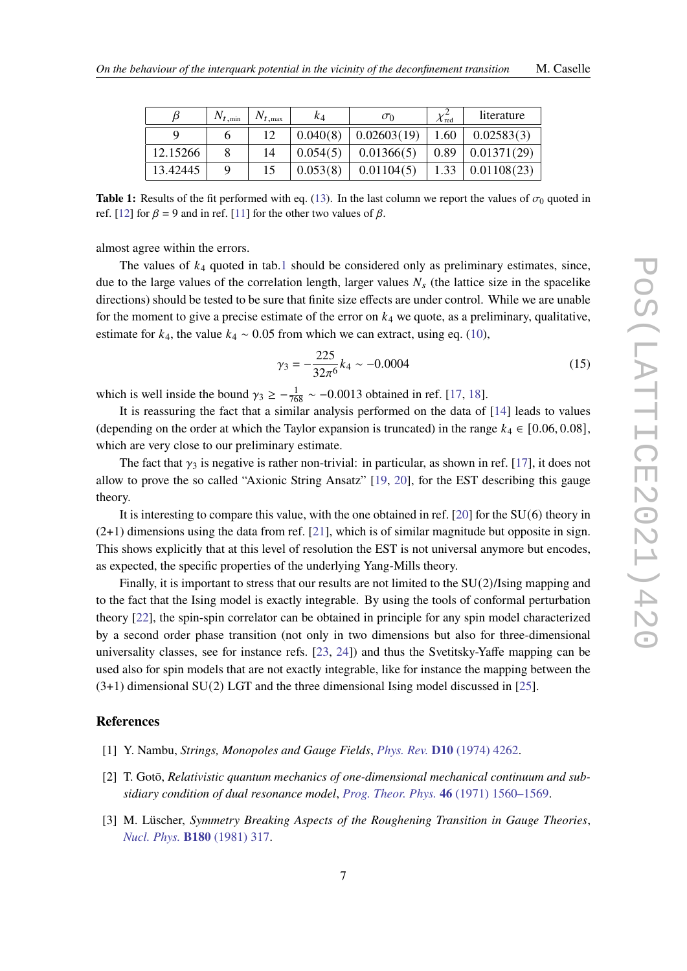<span id="page-6-1"></span>

|          | $N_{t, \text{min}}$ | $N_{t, \text{max}}$ | K4       | $\sigma_0$  | $\lambda$ red | literature  |
|----------|---------------------|---------------------|----------|-------------|---------------|-------------|
|          |                     | 12                  | 0.040(8) | 0.02603(19) | 1.60          | 0.02583(3)  |
| 12.15266 |                     | 14                  | 0.054(5) | 0.01366(5)  | 0.89          | 0.01371(29) |
| 13.42445 |                     | 15                  | 0.053(8) | 0.01104(5)  | 1.33          | 0.01108(23) |

**Table 1:** Results of the fit performed with eq. [\(13\)](#page-4-2). In the last column we report the values of  $\sigma_0$  quoted in ref. [\[12\]](#page-7-7) for  $\beta = 9$  and in ref. [\[11\]](#page-7-6) for the other two values of  $\beta$ .

almost agree within the errors.

The values of  $k_4$  quoted in tab[.1](#page-6-1) should be considered only as preliminary estimates, since, due to the large values of the correlation length, larger values  $N_s$  (the lattice size in the spacelike directions) should be tested to be sure that finite size effects are under control. While we are unable for the moment to give a precise estimate of the error on  $k_4$  we quote, as a preliminary, qualitative, estimate for  $k_4$ , the value  $k_4 \sim 0.05$  from which we can extract, using eq. [\(10\)](#page-4-3),

$$
\gamma_3 = -\frac{225}{32\pi^6} k_4 \sim -0.0004\tag{15}
$$

which is well inside the bound  $\gamma_3 \ge -\frac{1}{768} \sim -0.0013$  obtained in ref. [\[17,](#page-7-12) [18\]](#page-7-13).

It is reassuring the fact that a similar analysis performed on the data of [\[14\]](#page-7-9) leads to values (depending on the order at which the Taylor expansion is truncated) in the range  $k_4 \in [0.06, 0.08]$ , which are very close to our preliminary estimate.

The fact that  $\gamma_3$  is negative is rather non-trivial: in particular, as shown in ref. [\[17\]](#page-7-12), it does not allow to prove the so called "Axionic String Ansatz" [\[19,](#page-7-14) [20\]](#page-8-0), for the EST describing this gauge theory.

It is interesting to compare this value, with the one obtained in ref. [\[20\]](#page-8-0) for the SU(6) theory in  $(2+1)$  dimensions using the data from ref. [\[21\]](#page-8-1), which is of similar magnitude but opposite in sign. This shows explicitly that at this level of resolution the EST is not universal anymore but encodes, as expected, the specific properties of the underlying Yang-Mills theory.

Finally, it is important to stress that our results are not limited to the SU(2)/Ising mapping and to the fact that the Ising model is exactly integrable. By using the tools of conformal perturbation theory [\[22\]](#page-8-2), the spin-spin correlator can be obtained in principle for any spin model characterized by a second order phase transition (not only in two dimensions but also for three-dimensional universality classes, see for instance refs. [\[23,](#page-8-3) [24\]](#page-8-4)) and thus the Svetitsky-Yaffe mapping can be used also for spin models that are not exactly integrable, like for instance the mapping between the (3+1) dimensional SU(2) LGT and the three dimensional Ising model discussed in [\[25\]](#page-8-5).

## **References**

- <span id="page-6-0"></span>[1] Y. Nambu, *Strings, Monopoles and Gauge Fields*, *Phys. Rev.* **D10** [\(1974\) 4262.](http://dx.doi.org/10.1103/PhysRevD.10.4262)
- [2] T. Gotō, *Relativistic quantum mechanics of one-dimensional mechanical continuum and subsidiary condition of dual resonance model*, *Prog. Theor. Phys.* **46** [\(1971\) 1560–1569.](http://dx.doi.org/10.1143/PTP.46.1560)
- [3] M. Lüscher, *Symmetry Breaking Aspects of the Roughening Transition in Gauge Theories*, *[Nucl. Phys.](http://dx.doi.org/10.1016/0550-3213(81)90423-5)* **B180** (1981) 317.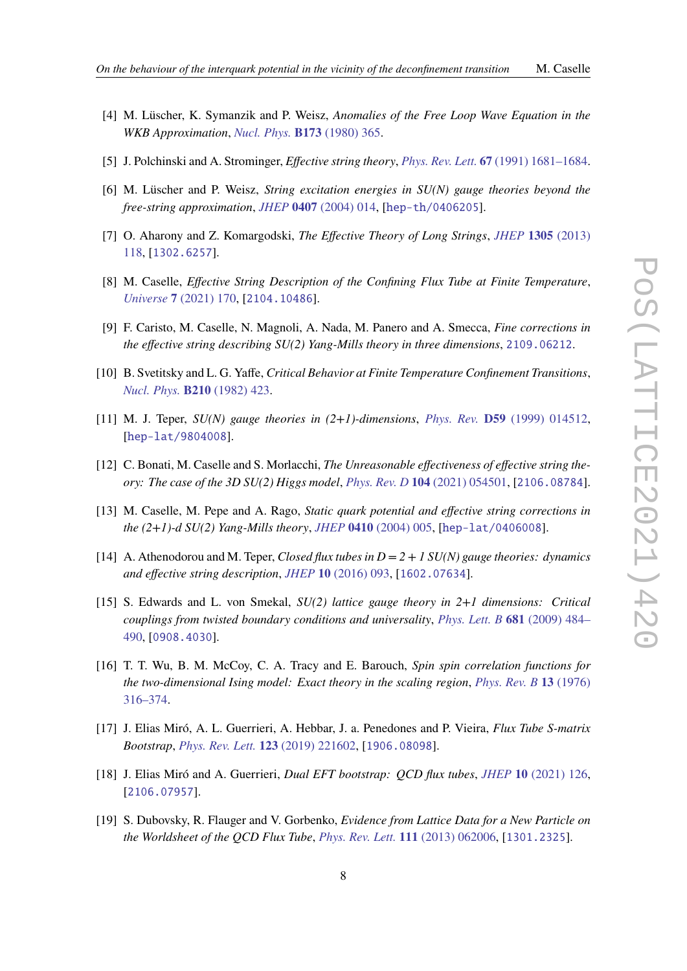- [4] M. Lüscher, K. Symanzik and P. Weisz, *Anomalies of the Free Loop Wave Equation in the WKB Approximation*, *[Nucl. Phys.](http://dx.doi.org/10.1016/0550-3213(80)90009-7)* **B173** (1980) 365.
- <span id="page-7-0"></span>[5] J. Polchinski and A. Strominger, *Effective string theory*, *Phys. Rev. Lett.* **67** [\(1991\) 1681–1684.](http://dx.doi.org/10.1103/PhysRevLett.67.1681)
- <span id="page-7-1"></span>[6] M. Lüscher and P. Weisz, *String excitation energies in SU(N) gauge theories beyond the free-string approximation*, *JHEP* **0407** [\(2004\) 014,](http://dx.doi.org/10.1088/1126-6708/2004/07/014) [[hep-th/0406205](https://arxiv.org/abs/hep-th/0406205)].
- <span id="page-7-2"></span>[7] O. Aharony and Z. Komargodski, *The Effective Theory of Long Strings*, *JHEP* **1305** [\(2013\)](http://dx.doi.org/10.1007/JHEP05(2013)118) [118,](http://dx.doi.org/10.1007/JHEP05(2013)118) [[1302.6257](https://arxiv.org/abs/1302.6257)].
- <span id="page-7-3"></span>[8] M. Caselle, *Effective String Description of the Confining Flux Tube at Finite Temperature*, *Universe* **7** [\(2021\) 170,](http://dx.doi.org/10.3390/universe7060170) [[2104.10486](https://arxiv.org/abs/2104.10486)].
- <span id="page-7-4"></span>[9] F. Caristo, M. Caselle, N. Magnoli, A. Nada, M. Panero and A. Smecca, *Fine corrections in the effective string describing SU(2) Yang-Mills theory in three dimensions*, [2109.06212](https://arxiv.org/abs/2109.06212).
- <span id="page-7-5"></span>[10] B. Svetitsky and L. G. Yaffe, *Critical Behavior at Finite Temperature Confinement Transitions*, *Nucl. Phys.* **B210** [\(1982\) 423.](http://dx.doi.org/10.1016/0550-3213(82)90172-9)
- <span id="page-7-6"></span>[11] M. J. Teper, *SU(N) gauge theories in (2+1)-dimensions*, *Phys. Rev.* **D59** [\(1999\) 014512,](http://dx.doi.org/10.1103/PhysRevD.59.014512) [[hep-lat/9804008](https://arxiv.org/abs/hep-lat/9804008)].
- <span id="page-7-7"></span>[12] C. Bonati, M. Caselle and S. Morlacchi, *The Unreasonable effectiveness of effective string theory: The case of the 3D SU(2) Higgs model*, *Phys. Rev. D* **104** [\(2021\) 054501,](http://dx.doi.org/10.1103/PhysRevD.104.054501) [[2106.08784](https://arxiv.org/abs/2106.08784)].
- <span id="page-7-8"></span>[13] M. Caselle, M. Pepe and A. Rago, *Static quark potential and effective string corrections in the (2+1)-d SU(2) Yang-Mills theory*, *JHEP* **0410** [\(2004\) 005,](http://dx.doi.org/10.1088/1126-6708/2004/10/005) [[hep-lat/0406008](https://arxiv.org/abs/hep-lat/0406008)].
- <span id="page-7-9"></span>[14] A. Athenodorou and M. Teper, *Closed flux tubes in D = 2 + 1 SU(N) gauge theories: dynamics and effective string description*, *JHEP* **10** [\(2016\) 093,](http://dx.doi.org/10.1007/JHEP10(2016)093) [[1602.07634](https://arxiv.org/abs/1602.07634)].
- <span id="page-7-10"></span>[15] S. Edwards and L. von Smekal, *SU(2) lattice gauge theory in 2+1 dimensions: Critical couplings from twisted boundary conditions and universality*, *[Phys. Lett. B](http://dx.doi.org/10.1016/j.physletb.2009.10.063)* **681** (2009) 484– [490,](http://dx.doi.org/10.1016/j.physletb.2009.10.063) [[0908.4030](https://arxiv.org/abs/0908.4030)].
- <span id="page-7-11"></span>[16] T. T. Wu, B. M. McCoy, C. A. Tracy and E. Barouch, *Spin spin correlation functions for the two-dimensional Ising model: Exact theory in the scaling region*, *[Phys. Rev. B](http://dx.doi.org/10.1103/PhysRevB.13.316)* **13** (1976) [316–374.](http://dx.doi.org/10.1103/PhysRevB.13.316)
- <span id="page-7-12"></span>[17] J. Elias Miró, A. L. Guerrieri, A. Hebbar, J. a. Penedones and P. Vieira, *Flux Tube S-matrix Bootstrap*, *[Phys. Rev. Lett.](http://dx.doi.org/10.1103/PhysRevLett.123.221602)* **123** (2019) 221602, [[1906.08098](https://arxiv.org/abs/1906.08098)].
- <span id="page-7-13"></span>[18] J. Elias Miró and A. Guerrieri, *Dual EFT bootstrap: QCD flux tubes*, *JHEP* **10** [\(2021\) 126,](http://dx.doi.org/10.1007/JHEP10(2021)126) [[2106.07957](https://arxiv.org/abs/2106.07957)].
- <span id="page-7-14"></span>[19] S. Dubovsky, R. Flauger and V. Gorbenko, *Evidence from Lattice Data for a New Particle on the Worldsheet of the QCD Flux Tube*, *[Phys. Rev. Lett.](http://dx.doi.org/10.1103/PhysRevLett.111.062006)* **111** (2013) 062006, [[1301.2325](https://arxiv.org/abs/1301.2325)].